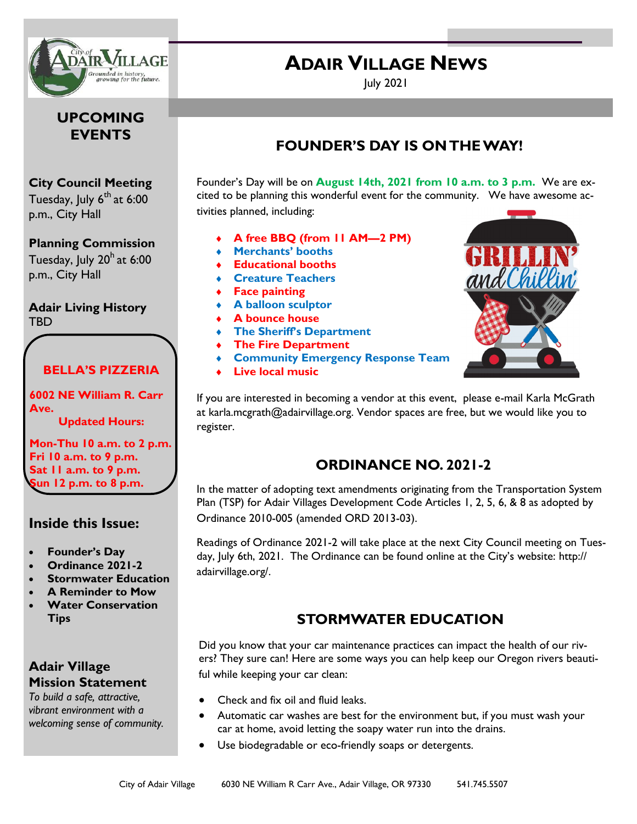

#### **UPCOMING EVENTS**

#### **City Council Meeting**

Tuesday, July 6<sup>th</sup> at 6:00 p.m., City Hall

#### **Planning Commission**

Tuesday, July  $20<sup>h</sup>$  at 6:00 p.m., City Hall

**Adair Living History** TBD

#### **BELLA'S PIZZERIA**

**6002 NE William R. Carr Ave.**

**Updated Hours:**

**Mon-Thu 10 a.m. to 2 p.m. Fri 10 a.m. to 9 p.m. Sat 11 a.m. to 9 p.m. Sun 12 p.m. to 8 p.m.**

#### **Inside this Issue:**

- **Founder's Day**
- **Ordinance 2021-2**
- **Stormwater Education**
- **A Reminder to Mow**
- **Water Conservation Tips**

## **Adair Village Mission Statement**

*To build a safe, attractive, vibrant environment with a welcoming sense of community.*

# July 2021

**ADAIR VILLAGE NEWS** 

## **FOUNDER'S DAY IS ON THE WAY!**

Founder's Day will be on **August 14th, 2021 from 10 a.m. to 3 p.m.** We are excited to be planning this wonderful event for the community. We have awesome activities planned, including:

- **A free BBQ (from 11 AM—2 PM)**
- **Merchants' booths**
- **Educational booths**
- **Creature Teachers**
- **Face painting**
- **A balloon sculptor**
- **A bounce house**
- **The Sheriff's Department**
- **The Fire Department**
- **Community Emergency Response Team**
- **Live local music**



If you are interested in becoming a vendor at this event, please e-mail Karla McGrath at karla.mcgrath@adairvillage.org. Vendor spaces are free, but we would like you to register.

## **ORDINANCE NO. 2021-2**

In the matter of adopting text amendments originating from the Transportation System Plan (TSP) for Adair Villages Development Code Articles 1, 2, 5, 6, & 8 as adopted by Ordinance 2010-005 (amended ORD 2013-03).

Readings of Ordinance 2021-2 will take place at the next City Council meeting on Tuesday, July 6th, 2021. The Ordinance can be found online at the City's website: http:// adairvillage.org/.

## **STORMWATER EDUCATION**

Did you know that your car maintenance practices can impact the health of our rivers? They sure can! Here are some ways you can help keep our Oregon rivers beautiful while keeping your car clean:

- Check and fix oil and fluid leaks.
- Automatic car washes are best for the environment but, if you must wash your car at home, avoid letting the soapy water run into the drains.
- Use biodegradable or eco-friendly soaps or detergents.